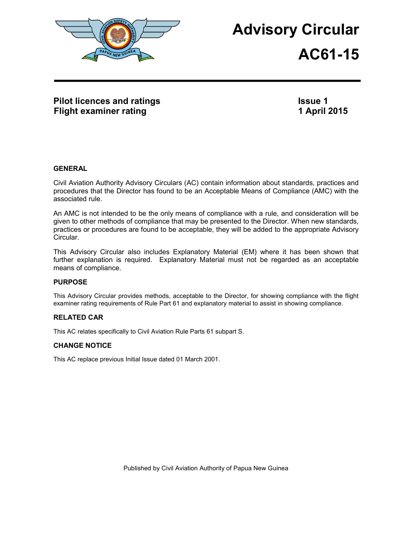

# **Advisory Circular**

# **AC61-15**

# **Pilot licences and ratings Flight examiner rating**

**Issue 1 1 April 2015**

#### **GENERAL**

Civil Aviation Authority Advisory Circulars (AC) contain information about standards, practices and procedures that the Director has found to be an Acceptable Means of Compliance (AMC) with the associated rule.

An AMC is not intended to be the only means of compliance with a rule, and consideration will be given to other methods of compliance that may be presented to the Director. When new standards, practices or procedures are found to be acceptable, they will be added to the appropriate Advisory Circular.

This Advisory Circular also includes Explanatory Material (EM) where it has been shown that further explanation is required. Explanatory Material must not be regarded as an acceptable means of compliance.

## **PURPOSE**

This Advisory Circular provides methods, acceptable to the Director, for showing compliance with the flight examiner rating requirements of Rule Part 61 and explanatory material to assist in showing compliance.

## **RELATED CAR**

This AC relates specifically to Civil Aviation Rule Parts 61 subpart S.

#### **CHANGE NOTICE**

This AC replace previous Initial Issue dated 01 March 2001.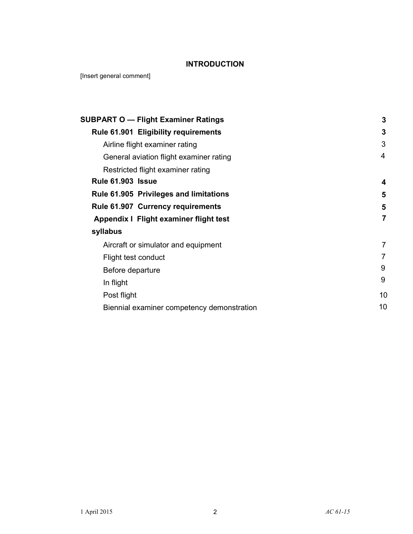# **INTRODUCTION**

[Insert general comment]

| <b>SUBPART O - Flight Examiner Ratings</b>  | 3              |
|---------------------------------------------|----------------|
| <b>Rule 61.901 Eligibility requirements</b> | 3              |
| Airline flight examiner rating              | 3              |
| General aviation flight examiner rating     | 4              |
| Restricted flight examiner rating           |                |
| <b>Rule 61.903 Issue</b>                    | 4              |
| Rule 61.905 Privileges and limitations      | 5              |
| <b>Rule 61.907 Currency requirements</b>    | 5              |
| Appendix I Flight examiner flight test      | $\overline{7}$ |
| syllabus                                    |                |
| Aircraft or simulator and equipment         | 7              |
| Flight test conduct                         |                |
| Before departure                            | 9              |
| In flight                                   | 9              |
| Post flight                                 | 10             |
| Biennial examiner competency demonstration  | 10             |
|                                             |                |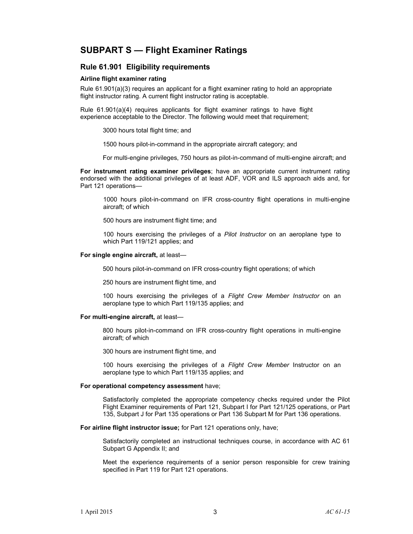# **SUBPART S — Flight Examiner Ratings**

#### **Rule 61.901 Eligibility requirements**

#### **Airline flight examiner rating**

Rule 61.901(a)(3) requires an applicant for a flight examiner rating to hold an appropriate flight instructor rating. A current flight instructor rating is acceptable.

Rule 61.901(a)(4) requires applicants for flight examiner ratings to have flight experience acceptable to the Director. The following would meet that requirement;

3000 hours total flight time; and

1500 hours pilot-in-command in the appropriate aircraft category; and

For multi-engine privileges, 750 hours as pilot-in-command of multi-engine aircraft; and

**For instrument rating examiner privileges**; have an appropriate current instrument rating endorsed with the additional privileges of at least ADF, VOR and ILS approach aids and, for Part 121 operations—

1000 hours pilot-in-command on IFR cross-country flight operations in multi-engine aircraft; of which

500 hours are instrument flight time; and

100 hours exercising the privileges of a *Pilot Instructor* on an aeroplane type to which Part 119/121 applies; and

#### **For single engine aircraft,** at least—

500 hours pilot-in-command on IFR cross-country flight operations; of which

250 hours are instrument flight time, and

100 hours exercising the privileges of a *Flight Crew Member Instructor* on an aeroplane type to which Part 119/135 applies; and

#### **For multi-engine aircraft,** at least—

800 hours pilot-in-command on IFR cross-country flight operations in multi-engine aircraft; of which

300 hours are instrument flight time, and

100 hours exercising the privileges of a *Flight Crew Member* Instructor on an aeroplane type to which Part 119/135 applies; and

#### **For operational competency assessment** have;

Satisfactorily completed the appropriate competency checks required under the Pilot Flight Examiner requirements of Part 121, Subpart I for Part 121/125 operations, or Part 135, Subpart J for Part 135 operations or Part 136 Subpart M for Part 136 operations.

**For airline flight instructor issue;** for Part 121 operations only, have;

Satisfactorily completed an instructional techniques course, in accordance with AC 61 Subpart G Appendix II; and

Meet the experience requirements of a senior person responsible for crew training specified in Part 119 for Part 121 operations.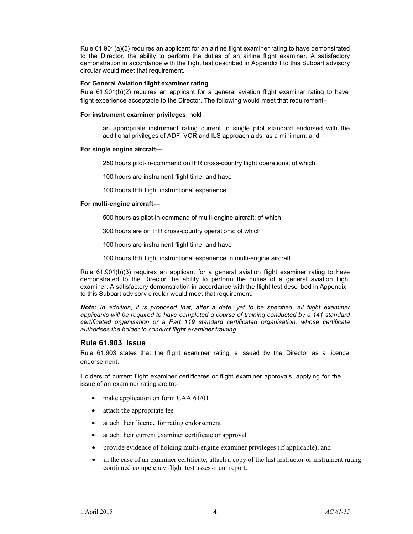Rule 61.901(a)(5) requires an applicant for an airline flight examiner rating to have demonstrated to the Director, the ability to perform the duties of an airline flight examiner. A satisfactory demonstration in accordance with the flight test described in Appendix I to this Subpart advisory circular would meet that requirement.

#### **For General Aviation flight examiner rating**

Rule 61.901(b)(2) requires an applicant for a general aviation flight examiner rating to have flight experience acceptable to the Director. The following would meet that requirement–

#### **For instrument examiner privileges**, hold—

an appropriate instrument rating current to single pilot standard endorsed with the additional privileges of ADF, VOR and ILS approach aids, as a minimum; and—

#### **For single engine aircraft—**

250 hours pilot-in-command on IFR cross-country flight operations; of which

100 hours are instrument flight time: and have

100 hours IFR flight instructional experience.

#### **For multi-engine aircraft—**

500 hours as pilot-in-command of multi-engine aircraft; of which

- 300 hours are on IFR cross-country operations; of which
- 100 hours are instrument flight time: and have
- 100 hours IFR flight instructional experience in multi-engine aircraft.

Rule 61.901(b)(3) requires an applicant for a general aviation flight examiner rating to have demonstrated to the Director the ability to perform the duties of a general aviation flight examiner. A satisfactory demonstration in accordance with the flight test described in Appendix I to this Subpart advisory circular would meet that requirement.

*Note: In addition, it is proposed that, after a date, yet to be specified, all flight examiner applicants will be required to have completed a course of training conducted by a 141 standard certificated organisation or a Part 119 standard certificated organisation, whose certificate authorises the holder to conduct flight examiner training.* 

#### **Rule 61.903 Issue**

Rule 61.903 states that the flight examiner rating is issued by the Director as a licence endorsement.

Holders of current flight examiner certificates or flight examiner approvals, applying for the issue of an examiner rating are to:-

- make application on form CAA 61/01
- attach the appropriate fee
- attach their licence for rating endorsement
- attach their current examiner certificate or approval
- provide evidence of holding multi-engine examiner privileges (if applicable); and
- in the case of an examiner certificate, attach a copy of the last instructor or instrument rating continued competency flight test assessment report.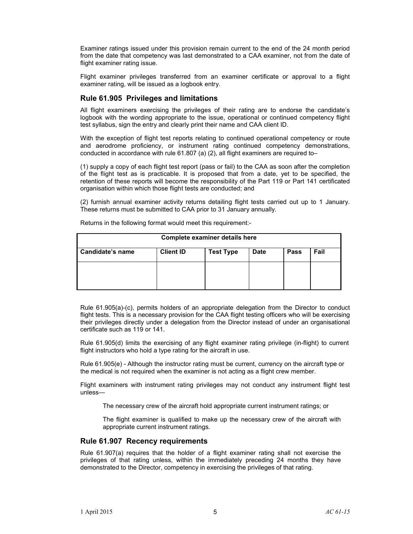Examiner ratings issued under this provision remain current to the end of the 24 month period from the date that competency was last demonstrated to a CAA examiner, not from the date of flight examiner rating issue.

Flight examiner privileges transferred from an examiner certificate or approval to a flight examiner rating, will be issued as a logbook entry.

#### **Rule 61.905 Privileges and limitations**

All flight examiners exercising the privileges of their rating are to endorse the candidate's logbook with the wording appropriate to the issue, operational or continued competency flight test syllabus, sign the entry and clearly print their name and CAA client ID.

With the exception of flight test reports relating to continued operational competency or route and aerodrome proficiency, or instrument rating continued competency demonstrations, conducted in accordance with rule 61.807 (a) (2), all flight examiners are required to–

(1) supply a copy of each flight test report (pass or fail) to the CAA as soon after the completion of the flight test as is practicable. It is proposed that from a date, yet to be specified, the retention of these reports will become the responsibility of the Part 119 or Part 141 certificated organisation within which those flight tests are conducted; and

(2) furnish annual examiner activity returns detailing flight tests carried out up to 1 January. These returns must be submitted to CAA prior to 31 January annually.

| Complete examiner details here |                  |                  |             |             |      |
|--------------------------------|------------------|------------------|-------------|-------------|------|
| <b>Candidate's name</b>        | <b>Client ID</b> | <b>Test Type</b> | <b>Date</b> | <b>Pass</b> | Fail |
|                                |                  |                  |             |             |      |
|                                |                  |                  |             |             |      |
|                                |                  |                  |             |             |      |

Returns in the following format would meet this requirement:-

Rule 61.905(a)-(c), permits holders of an appropriate delegation from the Director to conduct flight tests. This is a necessary provision for the CAA flight testing officers who will be exercising their privileges directly under a delegation from the Director instead of under an organisational certificate such as 119 or 141.

Rule 61.905(d) limits the exercising of any flight examiner rating privilege (in-flight) to current flight instructors who hold a type rating for the aircraft in use.

Rule 61.905(e) - Although the instructor rating must be current, currency on the aircraft type or the medical is not required when the examiner is not acting as a flight crew member.

Flight examiners with instrument rating privileges may not conduct any instrument flight test unless—

The necessary crew of the aircraft hold appropriate current instrument ratings; or

The flight examiner is qualified to make up the necessary crew of the aircraft with appropriate current instrument ratings.

#### **Rule 61.907 Recency requirements**

Rule 61.907(a) requires that the holder of a flight examiner rating shall not exercise the privileges of that rating unless, within the immediately preceding 24 months they have demonstrated to the Director, competency in exercising the privileges of that rating.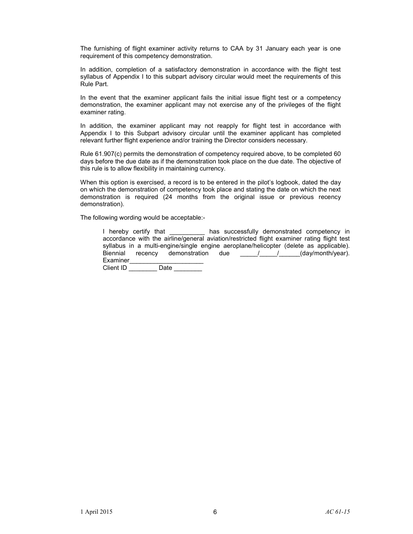The furnishing of flight examiner activity returns to CAA by 31 January each year is one requirement of this competency demonstration.

In addition, completion of a satisfactory demonstration in accordance with the flight test syllabus of Appendix I to this subpart advisory circular would meet the requirements of this Rule Part.

In the event that the examiner applicant fails the initial issue flight test or a competency demonstration, the examiner applicant may not exercise any of the privileges of the flight examiner rating.

In addition, the examiner applicant may not reapply for flight test in accordance with Appendix I to this Subpart advisory circular until the examiner applicant has completed relevant further flight experience and/or training the Director considers necessary.

Rule 61.907(c) permits the demonstration of competency required above, to be completed 60 days before the due date as if the demonstration took place on the due date. The objective of this rule is to allow flexibility in maintaining currency.

When this option is exercised, a record is to be entered in the pilot's logbook, dated the day on which the demonstration of competency took place and stating the date on which the next demonstration is required (24 months from the original issue or previous recency demonstration).

The following wording would be acceptable:-

| I hereby certify that                   | has successfully demonstrated competency in                                                |
|-----------------------------------------|--------------------------------------------------------------------------------------------|
|                                         | accordance with the airline/general aviation/restricted flight examiner rating flight test |
|                                         | syllabus in a multi-engine/single engine aeroplane/helicopter (delete as applicable).      |
| Biennial<br>recency demonstration       | (day/month/year).<br>due<br>$\sqrt{1}$                                                     |
| Examiner                                |                                                                                            |
| $\bigcap_{n=1}^{\infty}$<br><b>Data</b> |                                                                                            |

Client ID  $\_\_\_\_\_\_\_\_\_\_\_\_\_\_\_\_\_\_\_\_$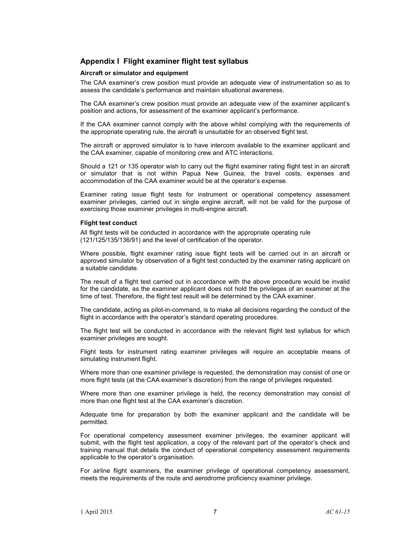#### **Appendix I Flight examiner flight test syllabus**

#### **Aircraft or simulator and equipment**

The CAA examiner's crew position must provide an adequate view of instrumentation so as to assess the candidate's performance and maintain situational awareness.

The CAA examiner's crew position must provide an adequate view of the examiner applicant's position and actions, for assessment of the examiner applicant's performance.

If the CAA examiner cannot comply with the above whilst complying with the requirements of the appropriate operating rule, the aircraft is unsuitable for an observed flight test.

The aircraft or approved simulator is to have intercom available to the examiner applicant and the CAA examiner, capable of monitoring crew and ATC interactions.

Should a 121 or 135 operator wish to carry out the flight examiner rating flight test in an aircraft or simulator that is not within Papua New Guinea, the travel costs, expenses and accommodation of the CAA examiner would be at the operator's expense.

Examiner rating issue flight tests for instrument or operational competency assessment examiner privileges, carried out in single engine aircraft, will not be valid for the purpose of exercising those examiner privileges in multi-engine aircraft.

#### **Flight test conduct**

All flight tests will be conducted in accordance with the appropriate operating rule (121/125/135/136/91) and the level of certification of the operator.

Where possible, flight examiner rating issue flight tests will be carried out in an aircraft or approved simulator by observation of a flight test conducted by the examiner rating applicant on a suitable candidate.

The result of a flight test carried out in accordance with the above procedure would be invalid for the candidate, as the examiner applicant does not hold the privileges of an examiner at the time of test. Therefore, the flight test result will be determined by the CAA examiner.

The candidate, acting as pilot-in-command, is to make all decisions regarding the conduct of the flight in accordance with the operator's standard operating procedures.

The flight test will be conducted in accordance with the relevant flight test syllabus for which examiner privileges are sought.

Flight tests for instrument rating examiner privileges will require an acceptable means of simulating instrument flight.

Where more than one examiner privilege is requested, the demonstration may consist of one or more flight tests (at the CAA examiner's discretion) from the range of privileges requested.

Where more than one examiner privilege is held, the recency demonstration may consist of more than one flight test at the CAA examiner's discretion.

Adequate time for preparation by both the examiner applicant and the candidate will be permitted.

For operational competency assessment examiner privileges, the examiner applicant will submit, with the flight test application, a copy of the relevant part of the operator's check and training manual that details the conduct of operational competency assessment requirements applicable to the operator's organisation.

For airline flight examiners, the examiner privilege of operational competency assessment, meets the requirements of the route and aerodrome proficiency examiner privilege.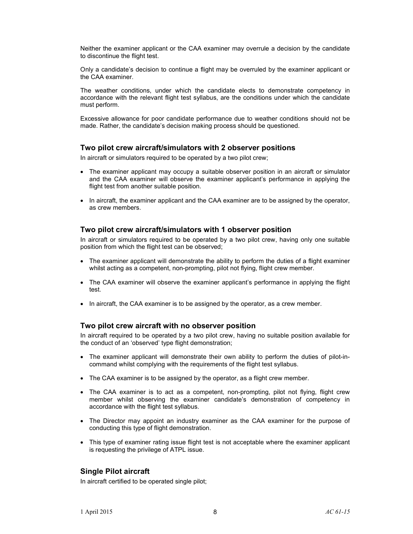Neither the examiner applicant or the CAA examiner may overrule a decision by the candidate to discontinue the flight test.

Only a candidate's decision to continue a flight may be overruled by the examiner applicant or the CAA examiner.

The weather conditions, under which the candidate elects to demonstrate competency in accordance with the relevant flight test syllabus, are the conditions under which the candidate must perform.

Excessive allowance for poor candidate performance due to weather conditions should not be made. Rather, the candidate's decision making process should be questioned.

#### **Two pilot crew aircraft/simulators with 2 observer positions**

In aircraft or simulators required to be operated by a two pilot crew;

- The examiner applicant may occupy a suitable observer position in an aircraft or simulator and the CAA examiner will observe the examiner applicant's performance in applying the flight test from another suitable position.
- In aircraft, the examiner applicant and the CAA examiner are to be assigned by the operator, as crew members.

#### **Two pilot crew aircraft/simulators with 1 observer position**

In aircraft or simulators required to be operated by a two pilot crew, having only one suitable position from which the flight test can be observed;

- The examiner applicant will demonstrate the ability to perform the duties of a flight examiner whilst acting as a competent, non-prompting, pilot not flying, flight crew member.
- The CAA examiner will observe the examiner applicant's performance in applying the flight test.
- In aircraft, the CAA examiner is to be assigned by the operator, as a crew member.

#### **Two pilot crew aircraft with no observer position**

In aircraft required to be operated by a two pilot crew, having no suitable position available for the conduct of an 'observed' type flight demonstration;

- The examiner applicant will demonstrate their own ability to perform the duties of pilot-incommand whilst complying with the requirements of the flight test syllabus.
- The CAA examiner is to be assigned by the operator, as a flight crew member.
- The CAA examiner is to act as a competent, non-prompting, pilot not flying, flight crew member whilst observing the examiner candidate's demonstration of competency in accordance with the flight test syllabus.
- The Director may appoint an industry examiner as the CAA examiner for the purpose of conducting this type of flight demonstration.
- This type of examiner rating issue flight test is not acceptable where the examiner applicant is requesting the privilege of ATPL issue.

#### **Single Pilot aircraft**

In aircraft certified to be operated single pilot;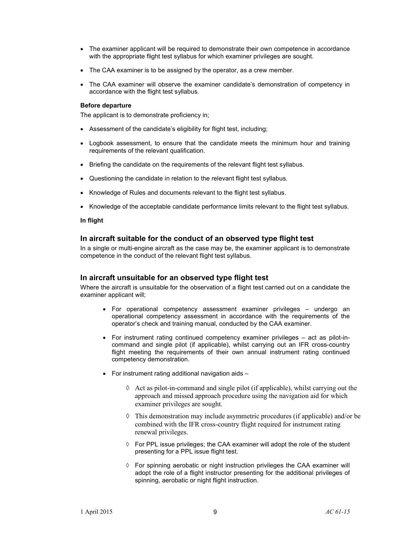- The examiner applicant will be required to demonstrate their own competence in accordance with the appropriate flight test syllabus for which examiner privileges are sought.
- The CAA examiner is to be assigned by the operator, as a crew member.
- The CAA examiner will observe the examiner candidate's demonstration of competency in accordance with the flight test syllabus.

#### **Before departure**

The applicant is to demonstrate proficiency in;

- Assessment of the candidate's eligibility for flight test, including;
- Logbook assessment, to ensure that the candidate meets the minimum hour and training requirements of the relevant qualification.
- Briefing the candidate on the requirements of the relevant flight test syllabus.
- Questioning the candidate in relation to the relevant flight test syllabus.
- Knowledge of Rules and documents relevant to the flight test syllabus.
- Knowledge of the acceptable candidate performance limits relevant to the flight test syllabus.

#### **In flight**

#### **In aircraft suitable for the conduct of an observed type flight test**

In a single or multi-engine aircraft as the case may be, the examiner applicant is to demonstrate competence in the conduct of the relevant flight test syllabus.

#### **In aircraft unsuitable for an observed type flight test**

Where the aircraft is unsuitable for the observation of a flight test carried out on a candidate the examiner applicant will;

- For operational competency assessment examiner privileges undergo an operational competency assessment in accordance with the requirements of the operator's check and training manual, conducted by the CAA examiner.
- For instrument rating continued competency examiner privileges act as pilot-incommand and single pilot (if applicable), whilst carrying out an IFR cross-country flight meeting the requirements of their own annual instrument rating continued competency demonstration.
- For instrument rating additional navigation aids
	- $\Diamond$  Act as pilot-in-command and single pilot (if applicable), whilst carrying out the approach and missed approach procedure using the navigation aid for which examiner privileges are sought.
	- $\Diamond$  This demonstration may include asymmetric procedures (if applicable) and/or be combined with the IFR cross-country flight required for instrument rating renewal privileges.
	- ◊ For PPL issue privileges; the CAA examiner will adopt the role of the student presenting for a PPL issue flight test.
	- ◊ For spinning aerobatic or night instruction privileges the CAA examiner will adopt the role of a flight instructor presenting for the additional privileges of spinning, aerobatic or night flight instruction.